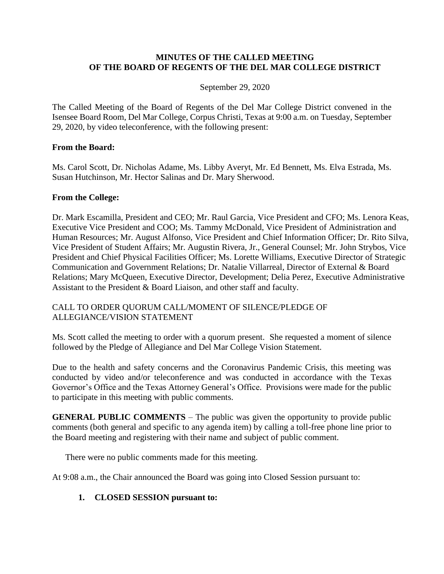## **MINUTES OF THE CALLED MEETING OF THE BOARD OF REGENTS OF THE DEL MAR COLLEGE DISTRICT**

## September 29, 2020

The Called Meeting of the Board of Regents of the Del Mar College District convened in the Isensee Board Room, Del Mar College, Corpus Christi, Texas at 9:00 a.m. on Tuesday, September 29, 2020, by video teleconference, with the following present:

#### **From the Board:**

Ms. Carol Scott, Dr. Nicholas Adame, Ms. Libby Averyt, Mr. Ed Bennett, Ms. Elva Estrada, Ms. Susan Hutchinson, Mr. Hector Salinas and Dr. Mary Sherwood.

#### **From the College:**

Dr. Mark Escamilla, President and CEO; Mr. Raul Garcia, Vice President and CFO; Ms. Lenora Keas, Executive Vice President and COO; Ms. Tammy McDonald, Vice President of Administration and Human Resources; Mr. August Alfonso, Vice President and Chief Information Officer; Dr. Rito Silva, Vice President of Student Affairs; Mr. Augustin Rivera, Jr., General Counsel; Mr. John Strybos, Vice President and Chief Physical Facilities Officer; Ms. Lorette Williams, Executive Director of Strategic Communication and Government Relations; Dr. Natalie Villarreal, Director of External & Board Relations; Mary McQueen, Executive Director, Development; Delia Perez, Executive Administrative Assistant to the President & Board Liaison, and other staff and faculty.

# CALL TO ORDER QUORUM CALL/MOMENT OF SILENCE/PLEDGE OF ALLEGIANCE/VISION STATEMENT

Ms. Scott called the meeting to order with a quorum present. She requested a moment of silence followed by the Pledge of Allegiance and Del Mar College Vision Statement.

Due to the health and safety concerns and the Coronavirus Pandemic Crisis, this meeting was conducted by video and/or teleconference and was conducted in accordance with the Texas Governor's Office and the Texas Attorney General's Office. Provisions were made for the public to participate in this meeting with public comments.

**GENERAL PUBLIC COMMENTS** – The public was given the opportunity to provide public comments (both general and specific to any agenda item) by calling a toll-free phone line prior to the Board meeting and registering with their name and subject of public comment.

There were no public comments made for this meeting.

At 9:08 a.m., the Chair announced the Board was going into Closed Session pursuant to:

# **1. CLOSED SESSION pursuant to:**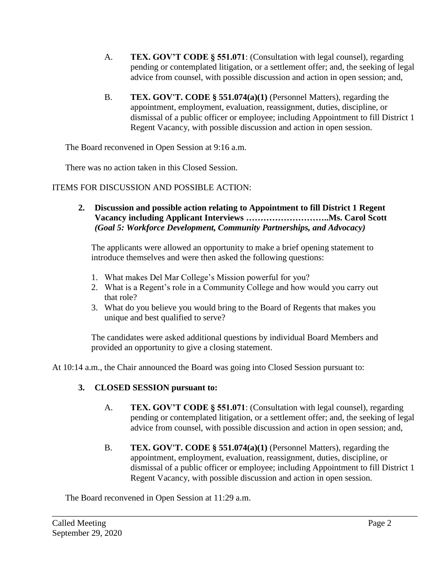- A. **TEX. GOV'T CODE § 551.071**: (Consultation with legal counsel), regarding pending or contemplated litigation, or a settlement offer; and, the seeking of legal advice from counsel, with possible discussion and action in open session; and,
- B. **TEX. GOV'T. CODE § 551.074(a)(1)** (Personnel Matters), regarding the appointment, employment, evaluation, reassignment, duties, discipline, or dismissal of a public officer or employee; including Appointment to fill District 1 Regent Vacancy, with possible discussion and action in open session.

The Board reconvened in Open Session at 9:16 a.m.

There was no action taken in this Closed Session.

ITEMS FOR DISCUSSION AND POSSIBLE ACTION:

**2. Discussion and possible action relating to Appointment to fill District 1 Regent Vacancy including Applicant Interviews ………………………..Ms. Carol Scott** *(Goal 5: Workforce Development, Community Partnerships, and Advocacy)*

The applicants were allowed an opportunity to make a brief opening statement to introduce themselves and were then asked the following questions:

- 1. What makes Del Mar College's Mission powerful for you?
- 2. What is a Regent's role in a Community College and how would you carry out that role?
- 3. What do you believe you would bring to the Board of Regents that makes you unique and best qualified to serve?

The candidates were asked additional questions by individual Board Members and provided an opportunity to give a closing statement.

\_\_\_\_\_\_\_\_\_\_\_\_\_\_\_\_\_\_\_\_\_\_\_\_\_\_\_\_\_\_\_\_\_\_\_\_\_\_\_\_\_\_\_\_\_\_\_\_\_\_\_\_\_\_\_\_\_\_\_\_\_\_\_\_\_\_\_\_\_\_\_\_\_\_\_\_\_\_\_\_\_\_\_\_

At 10:14 a.m., the Chair announced the Board was going into Closed Session pursuant to:

# **3. CLOSED SESSION pursuant to:**

- A. **TEX. GOV'T CODE § 551.071**: (Consultation with legal counsel), regarding pending or contemplated litigation, or a settlement offer; and, the seeking of legal advice from counsel, with possible discussion and action in open session; and,
- B. **TEX. GOV'T. CODE § 551.074(a)(1)** (Personnel Matters), regarding the appointment, employment, evaluation, reassignment, duties, discipline, or dismissal of a public officer or employee; including Appointment to fill District 1 Regent Vacancy, with possible discussion and action in open session.

The Board reconvened in Open Session at 11:29 a.m.